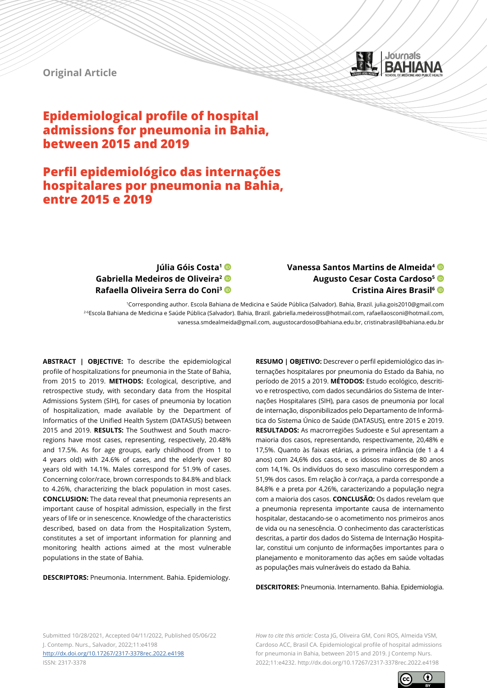

## **Original Article**

# **Epidemiological profile of hospital admissions for pneumonia in Bahia, between 2015 and 2019**

# **Perfil epidemiológico das internações hospitalares por pneumonia na Bahia, entre 2015 e 2019**

## **Júlia Góis Costa1 Gabriella Medeiros de Oliveira2 Rafaella Oliveira Serra do Coni3**

# **Vanessa Santos Martins de Almeida4 Augusto Cesar Costa Cardoso5 Cristina Aires Brasil6**

1Corresponding author. Escola Bahiana de Medicina e Saúde Pública (Salvador). Bahia, Brazil. julia.gois2010@gmail.com 2-6Escola Bahiana de Medicina e Saúde Pública (Salvador). Bahia, Brazil. gabriella.medeiross@hotmail.com, rafaellaosconi@hotmail.com, vanessa.smdealmeida@gmail.com, augustocardoso@bahiana.edu.br, cristinabrasil@bahiana.edu.br

**ABSTRACT | OBJECTIVE:** To describe the epidemiological profile of hospitalizations for pneumonia in the State of Bahia, from 2015 to 2019. **METHODS:** Ecological, descriptive, and retrospective study, with secondary data from the Hospital Admissions System (SIH), for cases of pneumonia by location of hospitalization, made available by the Department of Informatics of the Unified Health System (DATASUS) between 2015 and 2019. **RESULTS:** The Southwest and South macroregions have most cases, representing, respectively, 20.48% and 17.5%. As for age groups, early childhood (from 1 to 4 years old) with 24.6% of cases, and the elderly over 80 years old with 14.1%. Males correspond for 51.9% of cases. Concerning color/race, brown corresponds to 84.8% and black to 4.26%, characterizing the black population in most cases. **CONCLUSION:** The data reveal that pneumonia represents an important cause of hospital admission, especially in the first years of life or in senescence. Knowledge of the characteristics described, based on data from the Hospitalization System, constitutes a set of important information for planning and monitoring health actions aimed at the most vulnerable populations in the state of Bahia.

**DESCRIPTORS:** Pneumonia. Internment. Bahia. Epidemiology.

**RESUMO | OBJETIVO:** Descrever o perfil epidemiológico das internações hospitalares por pneumonia do Estado da Bahia, no período de 2015 a 2019. **MÉTODOS:** Estudo ecológico, descritivo e retrospectivo, com dados secundários do Sistema de Internações Hospitalares (SIH), para casos de pneumonia por local de internação, disponibilizados pelo Departamento de Informática do Sistema Único de Saúde (DATASUS), entre 2015 e 2019. **RESULTADOS:** As macrorregiões Sudoeste e Sul apresentam a maioria dos casos, representando, respectivamente, 20,48% e 17,5%. Quanto às faixas etárias, a primeira infância (de 1 a 4 anos) com 24,6% dos casos, e os idosos maiores de 80 anos com 14,1%. Os indivíduos do sexo masculino correspondem a 51,9% dos casos. Em relação à cor/raça, a parda corresponde a 84,8% e a preta por 4,26%, caracterizando a população negra com a maioria dos casos. **CONCLUSÃO:** Os dados revelam que a pneumonia representa importante causa de internamento hospitalar, destacando-se o acometimento nos primeiros anos de vida ou na senescência. O conhecimento das características descritas, a partir dos dados do Sistema de Internação Hospitalar, constitui um conjunto de informações importantes para o planejamento e monitoramento das ações em saúde voltadas as populações mais vulneráveis do estado da Bahia.

**DESCRITORES:** Pneumonia. Internamento. Bahia. Epidemiologia.

Submitted 10/28/2021, Accepted 04/11/2022, Published 05/06/22 J. Contemp. Nurs., Salvador, 2022;11:e4198 <http://dx.doi.org/10.17267/2317-3378rec.2022.e4198> ISSN: 2317-3378

*How to cite this article:* Costa JG, Oliveira GM, Coni ROS, Almeida VSM, Cardoso ACC, Brasil CA. Epidemiological profile of hospital admissions for pneumonia in Bahia, between 2015 and 2019. J Contemp Nurs. 2022;11:e4232. http://dx.doi.org/10.17267/2317-3378rec.2022.e4198

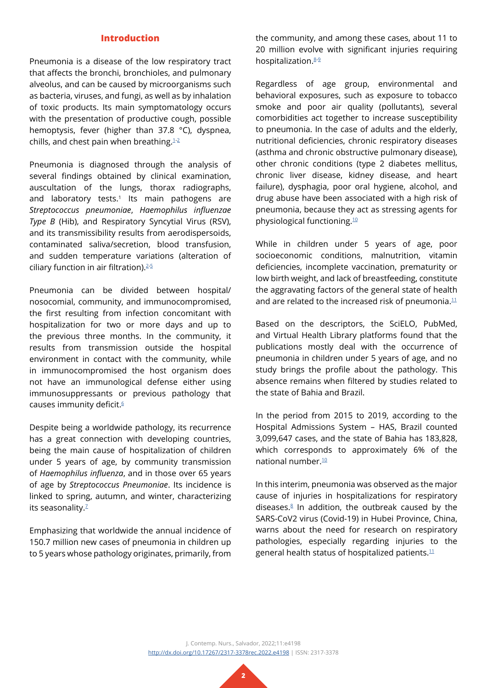## **Introduction**

Pneumonia is a disease of the low respiratory tract that affects the bronchi, bronchioles, and pulmonary alveolus, and can be caused by microorganisms such as bacteria, viruses, and fungi, as well as by inhalation of toxic products. Its main symptomatology occurs with the presentation of productive cough, possible hemoptysis, fever (higher than 37.8 °C), dyspnea, chills, and chest pain when breathing. $1-2$  $1-2$ 

Pneumonia is diagnosed through the analysis of several findings obtained by clinical examination, auscultation of the lungs, thorax radiographs, and laboratory tests.<sup>1</sup> Its main pathogens are *Streptococcus pneumoniae*, *Haemophilus influenzae Type B* (Hib), and Respiratory Syncytial Virus (RSV), and its transmissibility results from aerodispersoids, contaminated saliva/secretion, blood transfusion, and sudden temperature variations (alteration of ciliary function in air filtration).[2-](#page-7-1)[5](#page-7-2)

Pneumonia can be divided between hospital/ nosocomial, community, and immunocompromised, the first resulting from infection concomitant with hospitalization for two or more days and up to the previous three months. In the community, it results from transmission outside the hospital environment in contact with the community, while in immunocompromised the host organism does not have an immunological defense either using immunosuppressants or previous pathology that causes immunity deficit.<sup>[6](#page-7-3)</sup>

Despite being a worldwide pathology, its recurrence has a great connection with developing countries, being the main cause of hospitalization of children under 5 years of age, by community transmission of *Haemophilus influenza*, and in those over 65 years of age by *Streptococcus Pneumoniae*. Its incidence is linked to spring, autumn, and winter, characterizing its seasonality.<sup>2</sup>

Emphasizing that worldwide the annual incidence of 150.7 million new cases of pneumonia in children up to 5 years whose pathology originates, primarily, from the community, and among these cases, about 11 to 20 million evolve with significant injuries requiring hospitalization.<sup>[8-](#page-7-5)[9](#page-7-6)</sup>

Regardless of age group, environmental and behavioral exposures, such as exposure to tobacco smoke and poor air quality (pollutants), several comorbidities act together to increase susceptibility to pneumonia. In the case of adults and the elderly, nutritional deficiencies, chronic respiratory diseases (asthma and chronic obstructive pulmonary disease), other chronic conditions (type 2 diabetes mellitus, chronic liver disease, kidney disease, and heart failure), dysphagia, poor oral hygiene, alcohol, and drug abuse have been associated with a high risk of pneumonia, because they act as stressing agents for physiological functioning.[10](#page-7-7)

While in children under 5 years of age, poor socioeconomic conditions, malnutrition, vitamin deficiencies, incomplete vaccination, prematurity or low birth weight, and lack of breastfeeding, constitute the aggravating factors of the general state of health and are related to the increased risk of pneumonia. $11$ 

Based on the descriptors, the SciELO, PubMed, and Virtual Health Library platforms found that the publications mostly deal with the occurrence of pneumonia in children under 5 years of age, and no study brings the profile about the pathology. This absence remains when filtered by studies related to the state of Bahia and Brazil.

In the period from 2015 to 2019, according to the Hospital Admissions System – HAS, Brazil counted 3,099,647 cases, and the state of Bahia has 183,828, which corresponds to approximately 6% of the national number[.10](#page-7-7)

In this interim, pneumonia was observed as the major cause of injuries in hospitalizations for respiratory diseases. $8$  In addition, the outbreak caused by the SARS-CoV2 virus (Covid-19) in Hubei Province, China, warns about the need for research on respiratory pathologies, especially regarding injuries to the general health status of hospitalized patients. $11$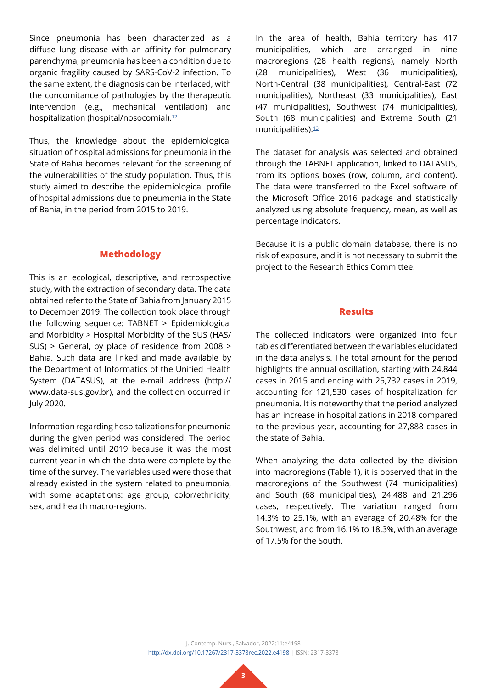Since pneumonia has been characterized as a diffuse lung disease with an affinity for pulmonary parenchyma, pneumonia has been a condition due to organic fragility caused by SARS-CoV-2 infection. To the same extent, the diagnosis can be interlaced, with the concomitance of pathologies by the therapeutic intervention (e.g., mechanical ventilation) and hospitalization (hospital/nosocomial).<sup>12</sup>

Thus, the knowledge about the epidemiological situation of hospital admissions for pneumonia in the State of Bahia becomes relevant for the screening of the vulnerabilities of the study population. Thus, this study aimed to describe the epidemiological profile of hospital admissions due to pneumonia in the State of Bahia, in the period from 2015 to 2019.

## **Methodology**

This is an ecological, descriptive, and retrospective study, with the extraction of secondary data. The data obtained refer to the State of Bahia from January 2015 to December 2019. The collection took place through the following sequence: TABNET > Epidemiological and Morbidity > Hospital Morbidity of the SUS (HAS/ SUS) > General, by place of residence from 2008 > Bahia. Such data are linked and made available by the Department of Informatics of the Unified Health System (DATASUS), at the e-mail address (http:// www.data-sus.gov.br), and the collection occurred in July 2020.

Information regarding hospitalizations for pneumonia during the given period was considered. The period was delimited until 2019 because it was the most current year in which the data were complete by the time of the survey. The variables used were those that already existed in the system related to pneumonia, with some adaptations: age group, color/ethnicity, sex, and health macro-regions.

In the area of health, Bahia territory has 417 municipalities, which are arranged in nine macroregions (28 health regions), namely North (28 municipalities), West (36 municipalities), North-Central (38 municipalities), Central-East (72 municipalities), Northeast (33 municipalities), East (47 municipalities), Southwest (74 municipalities), South (68 municipalities) and Extreme South (21 municipalities).<sup>[13](#page-8-0)</sup>

The dataset for analysis was selected and obtained through the TABNET application, linked to DATASUS, from its options boxes (row, column, and content). The data were transferred to the Excel software of the Microsoft Office 2016 package and statistically analyzed using absolute frequency, mean, as well as percentage indicators.

Because it is a public domain database, there is no risk of exposure, and it is not necessary to submit the project to the Research Ethics Committee.

#### **Results**

The collected indicators were organized into four tables differentiated between the variables elucidated in the data analysis. The total amount for the period highlights the annual oscillation, starting with 24,844 cases in 2015 and ending with 25,732 cases in 2019, accounting for 121,530 cases of hospitalization for pneumonia. It is noteworthy that the period analyzed has an increase in hospitalizations in 2018 compared to the previous year, accounting for 27,888 cases in the state of Bahia.

When analyzing the data collected by the division into macroregions (Table 1), it is observed that in the macroregions of the Southwest (74 municipalities) and South (68 municipalities), 24,488 and 21,296 cases, respectively. The variation ranged from 14.3% to 25.1%, with an average of 20.48% for the Southwest, and from 16.1% to 18.3%, with an average of 17.5% for the South.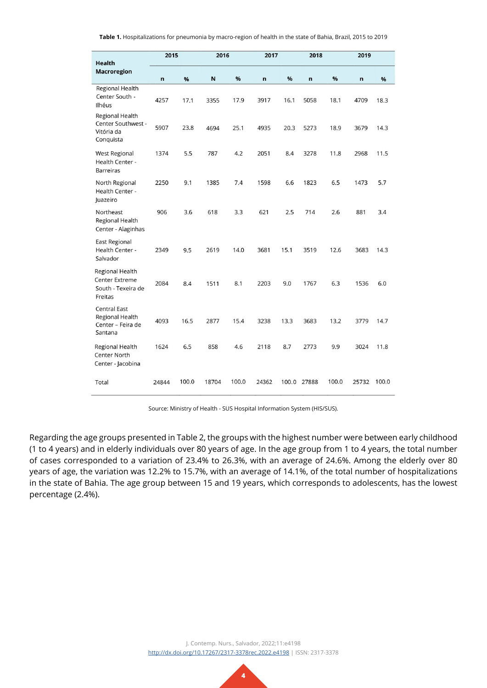| <b>Health</b>                                                             | 2015  |       |       | 2016  |       | 2017 |              | 2018  |       |       |
|---------------------------------------------------------------------------|-------|-------|-------|-------|-------|------|--------------|-------|-------|-------|
| <b>Macroregion</b>                                                        | n     | %     | N     | %     | n     | %    | $\mathsf{n}$ | %     | n     | %     |
| Regional Health<br>Center South -<br>Ilhéus                               | 4257  | 17.1  | 3355  | 17.9  | 3917  | 16.1 | 5058         | 18.1  | 4709  | 18.3  |
| Regional Health<br>Center Southwest -<br>Vitória da<br>Conquista          | 5907  | 23.8  | 4694  | 25.1  | 4935  | 20.3 | 5273         | 18.9  | 3679  | 14.3  |
| <b>West Regional</b><br>Health Center -<br><b>Barreiras</b>               | 1374  | 5.5   | 787   | 4.2   | 2051  | 8.4  | 3278         | 11.8  | 2968  | 11.5  |
| North Regional<br>Health Center -<br>Juazeiro                             | 2250  | 9.1   | 1385  | 7.4   | 1598  | 6.6  | 1823         | 6.5   | 1473  | 5.7   |
| Northeast<br>Regional Health<br>Center - Alaginhas                        | 906   | 3.6   | 618   | 3.3   | 621   | 2.5  | 714          | 2.6   | 881   | 3.4   |
| <b>East Regional</b><br>Health Center -<br>Salvador                       | 2349  | 9.5   | 2619  | 14.0  | 3681  | 15.1 | 3519         | 12.6  | 3683  | 14.3  |
| Regional Health<br><b>Center Extreme</b><br>South - Texeira de<br>Freitas | 2084  | 8.4   | 1511  | 8.1   | 2203  | 9.0  | 1767         | 6.3   | 1536  | 6.0   |
| <b>Central East</b><br>Regional Health<br>Center - Feira de<br>Santana    | 4093  | 16.5  | 2877  | 15.4  | 3238  | 13.3 | 3683         | 13.2  | 3779  | 14.7  |
| Regional Health<br><b>Center North</b><br>Center - Jacobina               | 1624  | 6.5   | 858   | 4.6   | 2118  | 8.7  | 2773         | 9.9   | 3024  | 11.8  |
| Total                                                                     | 24844 | 100.0 | 18704 | 100.0 | 24362 |      | 100.0 27888  | 100.0 | 25732 | 100.0 |

**Table 1.** Hospitalizations for pneumonia by macro-region of health in the state of Bahia, Brazil, 2015 to 2019

Source: Ministry of Health - SUS Hospital Information System (HIS/SUS).

Regarding the age groups presented in Table 2, the groups with the highest number were between early childhood (1 to 4 years) and in elderly individuals over 80 years of age. In the age group from 1 to 4 years, the total number of cases corresponded to a variation of 23.4% to 26.3%, with an average of 24.6%. Among the elderly over 80 years of age, the variation was 12.2% to 15.7%, with an average of 14.1%, of the total number of hospitalizations in the state of Bahia. The age group between 15 and 19 years, which corresponds to adolescents, has the lowest percentage (2.4%).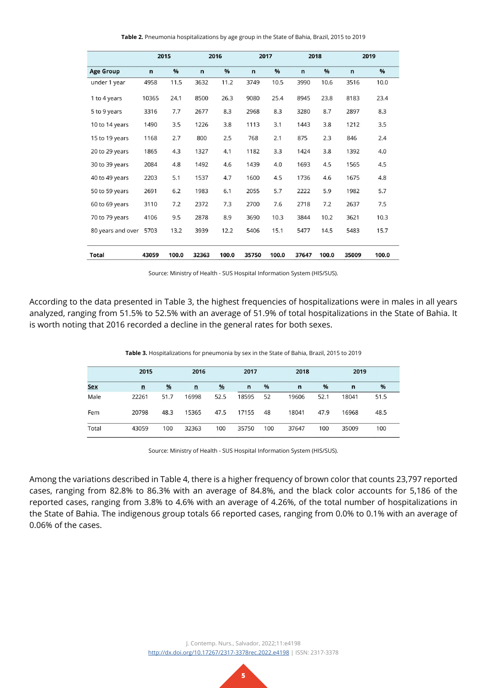| Table 2. Pneumonia hospitalizations by age group in the State of Bahia, Brazil, 2015 to 2019 |  |  |
|----------------------------------------------------------------------------------------------|--|--|
|                                                                                              |  |  |

|                   | 2015  |       | 2016         |       | 2017         |       | 2018         |       | 2019         |       |
|-------------------|-------|-------|--------------|-------|--------------|-------|--------------|-------|--------------|-------|
| <b>Age Group</b>  | n     | %     | $\mathsf{n}$ | %     | $\mathsf{n}$ | %     | $\mathsf{n}$ | %     | $\mathsf{n}$ | %     |
| under 1 year      | 4958  | 11.5  | 3632         | 11.2  | 3749         | 10.5  | 3990         | 10.6  | 3516         | 10.0  |
| 1 to 4 years      | 10365 | 24.1  | 8500         | 26.3  | 9080         | 25.4  | 8945         | 23.8  | 8183         | 23.4  |
| 5 to 9 years      | 3316  | 7.7   | 2677         | 8.3   | 2968         | 8.3   | 3280         | 8.7   | 2897         | 8.3   |
| 10 to 14 years    | 1490  | 3.5   | 1226         | 3.8   | 1113         | 3.1   | 1443         | 3.8   | 1212         | 3.5   |
| 15 to 19 years    | 1168  | 2.7   | 800          | 2.5   | 768          | 2.1   | 875          | 2.3   | 846          | 2.4   |
| 20 to 29 years    | 1865  | 4.3   | 1327         | 4.1   | 1182         | 3.3   | 1424         | 3.8   | 1392         | 4.0   |
| 30 to 39 years    | 2084  | 4.8   | 1492         | 4.6   | 1439         | 4.0   | 1693         | 4.5   | 1565         | 4.5   |
| 40 to 49 years    | 2203  | 5.1   | 1537         | 4.7   | 1600         | 4.5   | 1736         | 4.6   | 1675         | 4.8   |
| 50 to 59 years    | 2691  | 6.2   | 1983         | 6.1   | 2055         | 5.7   | 2222         | 5.9   | 1982         | 5.7   |
| 60 to 69 years    | 3110  | 7.2   | 2372         | 7.3   | 2700         | 7.6   | 2718         | 7.2   | 2637         | 7.5   |
| 70 to 79 years    | 4106  | 9.5   | 2878         | 8.9   | 3690         | 10.3  | 3844         | 10.2  | 3621         | 10.3  |
| 80 years and over | 5703  | 13.2  | 3939         | 12.2  | 5406         | 15.1  | 5477         | 14.5  | 5483         | 15.7  |
| Total             | 43059 | 100.0 | 32363        | 100.0 | 35750        | 100.0 | 37647        | 100.0 | 35009        | 100.0 |

Source: Ministry of Health - SUS Hospital Information System (HIS/SUS).

According to the data presented in Table 3, the highest frequencies of hospitalizations were in males in all years analyzed, ranging from 51.5% to 52.5% with an average of 51.9% of total hospitalizations in the State of Bahia. It is worth noting that 2016 recorded a decline in the general rates for both sexes.

|            | 2015  |               | 2016  |      | 2017         |     |       | 2018 |       | 2019 |
|------------|-------|---------------|-------|------|--------------|-----|-------|------|-------|------|
| <b>Sex</b> | n     | $\frac{9}{6}$ | n     | %    | $\mathsf{n}$ | %   | n     | $\%$ | n     | %    |
| Male       | 22261 | 51.7          | 16998 | 52.5 | 18595        | 52  | 19606 | 52.1 | 18041 | 51.5 |
| Fem        | 20798 | 48.3          | 15365 | 47.5 | 17155        | 48  | 18041 | 47.9 | 16968 | 48.5 |
| Total      | 43059 | 100           | 32363 | 100  | 35750        | 100 | 37647 | 100  | 35009 | 100  |

Source: Ministry of Health - SUS Hospital Information System (HIS/SUS).

Among the variations described in Table 4, there is a higher frequency of brown color that counts 23,797 reported cases, ranging from 82.8% to 86.3% with an average of 84.8%, and the black color accounts for 5,186 of the reported cases, ranging from 3.8% to 4.6% with an average of 4.26%, of the total number of hospitalizations in the State of Bahia. The indigenous group totals 66 reported cases, ranging from 0.0% to 0.1% with an average of 0.06% of the cases.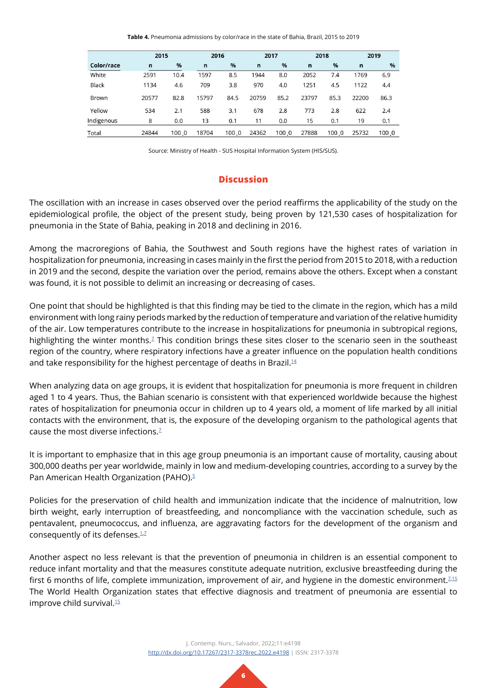**Table 4.** Pneumonia admissions by color/race in the state of Bahia, Brazil, 2015 to 2019

|            | 2015  |       |              | 2016  |             | 2017  |              | 2018  |              | 2019  |  |
|------------|-------|-------|--------------|-------|-------------|-------|--------------|-------|--------------|-------|--|
| Color/race | n     | %     | $\mathsf{n}$ | %     | $\mathbf n$ | $\%$  | $\mathsf{n}$ | %     | $\mathsf{n}$ | %     |  |
| White      | 2591  | 10.4  | 1597         | 8.5   | 1944        | 8.0   | 2052         | 7.4   | 1769         | 6.9   |  |
| Black      | 1134  | 4.6   | 709          | 3.8   | 970         | 4.0   | 1251         | 4.5   | 1122         | 4.4   |  |
| Brown      | 20577 | 82.8  | 15797        | 84.5  | 20759       | 85.2  | 23797        | 85.3  | 22200        | 86.3  |  |
| Yellow     | 534   | 2.1   | 588          | 3.1   | 678         | 2.8   | 773          | 2.8   | 622          | 2.4   |  |
| Indigenous | 8     | 0.0   | 13           | 0.1   | 11          | 0.0   | 15           | 0.1   | 19           | 0.1   |  |
| Total      | 24844 | 100.0 | 18704        | 100 0 | 24362       | 100.0 | 27888        | 100.0 | 25732        | 100.0 |  |
|            |       |       |              |       |             |       |              |       |              |       |  |

Source: Ministry of Health - SUS Hospital Information System (HIS/SUS).

## **Discussion**

The oscillation with an increase in cases observed over the period reaffirms the applicability of the study on the epidemiological profile, the object of the present study, being proven by 121,530 cases of hospitalization for pneumonia in the State of Bahia, peaking in 2018 and declining in 2016.

Among the macroregions of Bahia, the Southwest and South regions have the highest rates of variation in hospitalization for pneumonia, increasing in cases mainly in the first the period from 2015 to 2018, with a reduction in 2019 and the second, despite the variation over the period, remains above the others. Except when a constant was found, it is not possible to delimit an increasing or decreasing of cases.

One point that should be highlighted is that this finding may be tied to the climate in the region, which has a mild environment with long rainy periods marked by the reduction of temperature and variation of the relative humidity of the air. Low temperatures contribute to the increase in hospitalizations for pneumonia in subtropical regions, highlighting the winter months.<sup>7</sup> This condition brings these sites closer to the scenario seen in the southeast region of the country, where respiratory infections have a greater influence on the population health conditions and take responsibility for the highest percentage of deaths in Brazil.<sup>[14](#page-8-1)</sup>

When analyzing data on age groups, it is evident that hospitalization for pneumonia is more frequent in children aged 1 to 4 years. Thus, the Bahian scenario is consistent with that experienced worldwide because the highest rates of hospitalization for pneumonia occur in children up to 4 years old, a moment of life marked by all initial contacts with the environment, that is, the exposure of the developing organism to the pathological agents that cause the most diverse infections.<sup> $7$ </sup>

It is important to emphasize that in this age group pneumonia is an important cause of mortality, causing about 300,000 deaths per year worldwide, mainly in low and medium-developing countries, according to a survey by the Pan American Health Organization (PAHO).<sup>5</sup>

Policies for the preservation of child health and immunization indicate that the incidence of malnutrition, low birth weight, early interruption of breastfeeding, and noncompliance with the vaccination schedule, such as pentavalent, pneumococcus, and influenza, are aggravating factors for the development of the organism and consequently of its defenses. $1/2$ 

Another aspect no less relevant is that the prevention of pneumonia in children is an essential component to reduce infant mortality and that the measures constitute adequate nutrition, exclusive breastfeeding during the first 6 months of life, complete immunization, improvement of air, and hygiene in the domestic environment.<sup>[7](#page-7-4),[15](#page-8-2)</sup> The World Health Organization states that effective diagnosis and treatment of pneumonia are essential to improve child survival.<sup>15</sup>

> J. Contemp. Nurs., Salvador, 2022;11:e4198 <http://dx.doi.org/10.17267/2317-3378rec.2022.e4198>| ISSN: 2317-3378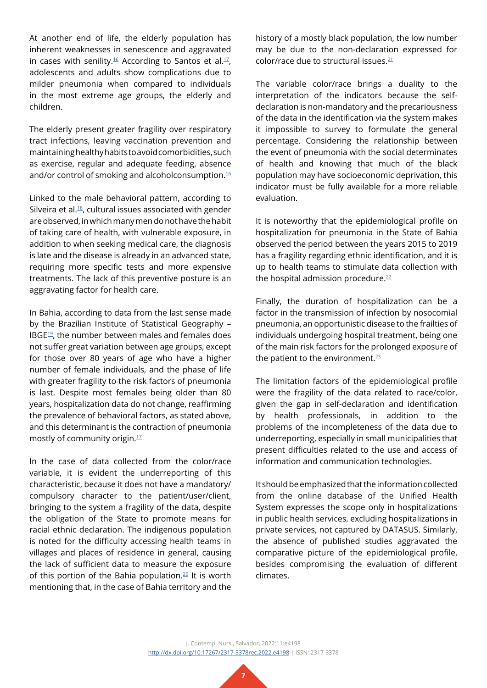At another end of life, the elderly population has inherent weaknesses in senescence and aggravated in cases with senility.<sup>16</sup> According to Santos et al.<sup>17</sup>, adolescents and adults show complications due to milder pneumonia when compared to individuals in the most extreme age groups, the elderly and children.

The elderly present greater fragility over respiratory tract infections, leaving vaccination prevention and maintaining healthy habits to avoid comorbidities, such as exercise, regular and adequate feeding, absence and/or control of smoking and alcoholconsumption.<sup>[16](#page-8-3)</sup>

Linked to the male behavioral pattern, according to Silveira et al.<sup>18</sup>, cultural issues associated with gender are observed, in which many men do not have the habit of taking care of health, with vulnerable exposure, in addition to when seeking medical care, the diagnosis is late and the disease is already in an advanced state, requiring more specific tests and more expensive treatments. The lack of this preventive posture is an aggravating factor for health care.

In Bahia, according to data from the last sense made by the Brazilian Institute of Statistical Geography – IBG[E19,](#page-8-6) the number between males and females does not suffer great variation between age groups, except for those over 80 years of age who have a higher number of female individuals, and the phase of life with greater fragility to the risk factors of pneumonia is last. Despite most females being older than 80 years, hospitalization data do not change, reaffirming the prevalence of behavioral factors, as stated above, and this determinant is the contraction of pneumonia mostly of community origin.[17](#page-8-4)

In the case of data collected from the color/race variable, it is evident the underreporting of this characteristic, because it does not have a mandatory/ compulsory character to the patient/user/client, bringing to the system a fragility of the data, despite the obligation of the State to promote means for racial ethnic declaration. The indigenous population is noted for the difficulty accessing health teams in villages and places of residence in general, causing the lack of sufficient data to measure the exposure of this portion of the Bahia population.<sup>[20](#page-8-7)</sup> It is worth mentioning that, in the case of Bahia territory and the

history of a mostly black population, the low number may be due to the non-declaration expressed for color/race due to structural issues[.21](#page-8-8)

The variable color/race brings a duality to the interpretation of the indicators because the selfdeclaration is non-mandatory and the precariousness of the data in the identification via the system makes it impossible to survey to formulate the general percentage. Considering the relationship between the event of pneumonia with the social determinates of health and knowing that much of the black population may have socioeconomic deprivation, this indicator must be fully available for a more reliable evaluation.

It is noteworthy that the epidemiological profile on hospitalization for pneumonia in the State of Bahia observed the period between the years 2015 to 2019 has a fragility regarding ethnic identification, and it is up to health teams to stimulate data collection with the hospital admission procedure. $22$ 

Finally, the duration of hospitalization can be a factor in the transmission of infection by nosocomial pneumonia, an opportunistic disease to the frailties of individuals undergoing hospital treatment, being one of the main risk factors for the prolonged exposure of the patient to the environment. $23$ 

The limitation factors of the epidemiological profile were the fragility of the data related to race/color, given the gap in self-declaration and identification by health professionals, in addition to the problems of the incompleteness of the data due to underreporting, especially in small municipalities that present difficulties related to the use and access of information and communication technologies.

It should be emphasized that the information collected from the online database of the Unified Health System expresses the scope only in hospitalizations in public health services, excluding hospitalizations in private services, not captured by DATASUS. Similarly, the absence of published studies aggravated the comparative picture of the epidemiological profile, besides compromising the evaluation of different climates.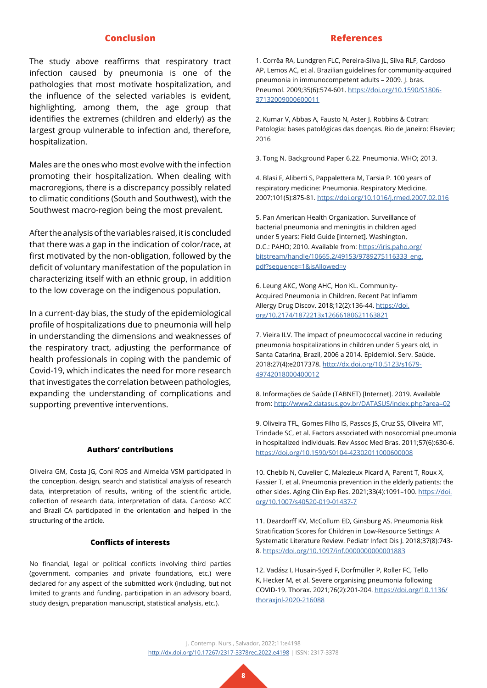#### **Conclusion**

The study above reaffirms that respiratory tract infection caused by pneumonia is one of the pathologies that most motivate hospitalization, and the influence of the selected variables is evident, highlighting, among them, the age group that identifies the extremes (children and elderly) as the largest group vulnerable to infection and, therefore, hospitalization.

Males are the ones who most evolve with the infection promoting their hospitalization. When dealing with macroregions, there is a discrepancy possibly related to climatic conditions (South and Southwest), with the Southwest macro-region being the most prevalent.

After the analysis of the variables raised, it is concluded that there was a gap in the indication of color/race, at first motivated by the non-obligation, followed by the deficit of voluntary manifestation of the population in characterizing itself with an ethnic group, in addition to the low coverage on the indigenous population.

In a current-day bias, the study of the epidemiological profile of hospitalizations due to pneumonia will help in understanding the dimensions and weaknesses of the respiratory tract, adjusting the performance of health professionals in coping with the pandemic of Covid-19, which indicates the need for more research that investigates the correlation between pathologies, expanding the understanding of complications and supporting preventive interventions.

#### **Authors' contributions**

Oliveira GM, Costa JG, Coni ROS and Almeida VSM participated in the conception, design, search and statistical analysis of research data, interpretation of results, writing of the scientific article, collection of research data, interpretation of data. Cardoso ACC and Brazil CA participated in the orientation and helped in the structuring of the article.

### **Conflicts of interests**

No financial, legal or political conflicts involving third parties (government, companies and private foundations, etc.) were declared for any aspect of the submitted work (including, but not limited to grants and funding, participation in an advisory board, study design, preparation manuscript, statistical analysis, etc.).

#### **References**

<span id="page-7-0"></span>1. Corrêa RA, Lundgren FLC, Pereira-Silva JL, Silva RLF, Cardoso AP, Lemos AC, et al. Brazilian guidelines for community-acquired pneumonia in immunocompetent adults – 2009. J. bras. Pneumol. 2009;35(6):574-601. [https://doi.org/10.1590/S1806-](https://doi.org/10.1590/S1806-37132009000600011) [37132009000600011](https://doi.org/10.1590/S1806-37132009000600011)

<span id="page-7-1"></span>2. Kumar V, Abbas A, Fausto N, Aster J. Robbins & Cotran: Patologia: bases patológicas das doenças. Rio de Janeiro: Elsevier; 2016

3. Tong N. Background Paper 6.22. Pneumonia. WHO; 2013.

4. Blasi F, Aliberti S, Pappalettera M, Tarsia P. 100 years of respiratory medicine: Pneumonia. Respiratory Medicine. 2007;101(5):875-81. <https://doi.org/10.1016/j.rmed.2007.02.016>

<span id="page-7-2"></span>5. Pan American Health Organization. Surveillance of bacterial pneumonia and meningitis in children aged under 5 years: Field Guide [Internet]. Washington, D.C.: PAHO; 2010. Available from: [https://iris.paho.org/](https://iris.paho.org/bitstream/handle/10665.2/49153/9789275116333_eng.pdf?sequence=1&isAllowed=y) [bitstream/handle/10665.2/49153/9789275116333\\_eng.](https://iris.paho.org/bitstream/handle/10665.2/49153/9789275116333_eng.pdf?sequence=1&isAllowed=y) [pdf?sequence=1&isAllowed=y](https://iris.paho.org/bitstream/handle/10665.2/49153/9789275116333_eng.pdf?sequence=1&isAllowed=y)

<span id="page-7-3"></span>6. Leung AKC, Wong AHC, Hon KL. Community-Acquired Pneumonia in Children. Recent Pat Inflamm Allergy Drug Discov. 2018;12(2):136-44. [https://doi.](https://doi.org/10.2174/1872213x12666180621163821) [org/10.2174/1872213x12666180621163821](https://doi.org/10.2174/1872213x12666180621163821)

<span id="page-7-4"></span>7. Vieira ILV. The impact of pneumococcal vaccine in reducing pneumonia hospitalizations in children under 5 years old, in Santa Catarina, Brazil, 2006 a 2014. Epidemiol. Serv. Saúde. 2018;27(4):e2017378. [http://dx.doi.org/10.5123/s1679-](http://dx.doi.org/10.5123/s1679-49742018000400012) [49742018000400012](http://dx.doi.org/10.5123/s1679-49742018000400012)

<span id="page-7-5"></span>8. Informações de Saúde (TABNET) [Internet]. 2019. Available from:<http://www2.datasus.gov.br/DATASUS/index.php?area=02>

<span id="page-7-6"></span>9. Oliveira TFL, Gomes Filho IS, Passos JS, Cruz SS, Oliveira MT, Trindade SC, et al. Factors associated with nosocomial pneumonia in hospitalized individuals. Rev Assoc Med Bras. 2011;57(6):630-6. <https://doi.org/10.1590/S0104-42302011000600008>

<span id="page-7-7"></span>10. Chebib N, Cuvelier C, Malezieux Picard A, Parent T, Roux X, Fassier T, et al. Pneumonia prevention in the elderly patients: the other sides. Aging Clin Exp Res. 2021;33(4):1091–100. [https://doi.](https://doi.org/10.1007/s40520-019-01437-7) [org/10.1007/s40520-019-01437-7](https://doi.org/10.1007/s40520-019-01437-7)

<span id="page-7-8"></span>11. Deardorff KV, McCollum ED, Ginsburg AS. Pneumonia Risk Stratification Scores for Children in Low-Resource Settings: A Systematic Literature Review. Pediatr Infect Dis J. 2018;37(8):743- 8.<https://doi.org/10.1097/inf.0000000000001883>

<span id="page-7-9"></span>12. Vadász I, Husain-Syed F, Dorfmüller P, Roller FC, Tello K, Hecker M, et al. Severe organising pneumonia following COVID-19. Thorax. 2021;76(2):201-204. [https://doi.org/10.1136/](https://doi.org/10.1136/thoraxjnl-2020-216088) [thoraxjnl-2020-216088](https://doi.org/10.1136/thoraxjnl-2020-216088)